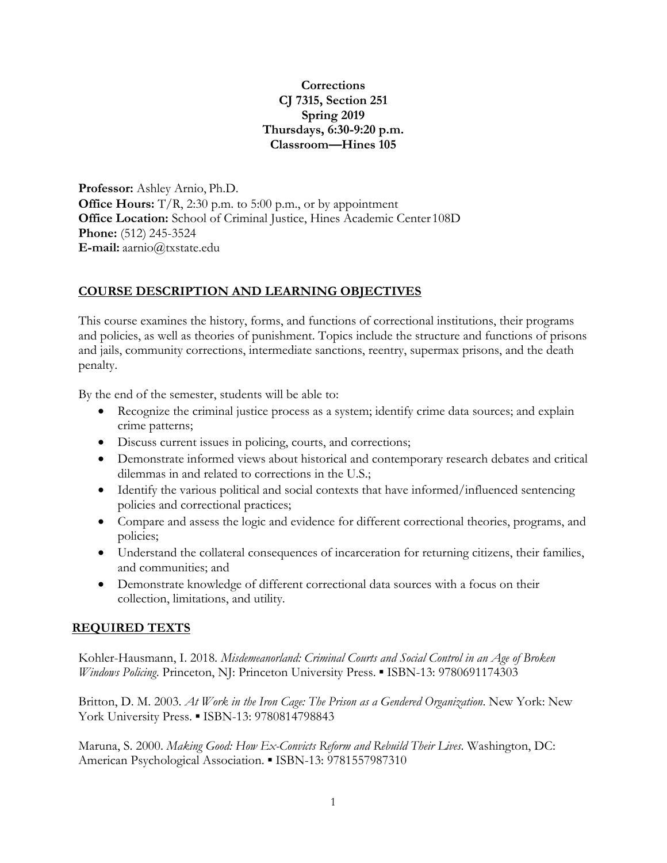# **Corrections CJ 7315, Section 251 Spring 2019 Thursdays, 6:30-9:20 p.m. Classroom—Hines 105**

**Professor:** Ashley Arnio, Ph.D. **Office Hours:** T/R, 2:30 p.m. to 5:00 p.m., or by appointment **Office Location:** School of Criminal Justice, Hines Academic Center 108D **Phone:** (512) 245-3524 **E-mail:** aarnio@txstate.edu

# **COURSE DESCRIPTION AND LEARNING OBJECTIVES**

This course examines the history, forms, and functions of correctional institutions, their programs and policies, as well as theories of punishment. Topics include the structure and functions of prisons and jails, community corrections, intermediate sanctions, reentry, supermax prisons, and the death penalty.

By the end of the semester, students will be able to:

- Recognize the criminal justice process as a system; identify crime data sources; and explain crime patterns;
- Discuss current issues in policing, courts, and corrections;
- Demonstrate informed views about historical and contemporary research debates and critical dilemmas in and related to corrections in the U.S.;
- Identify the various political and social contexts that have informed/influenced sentencing policies and correctional practices;
- Compare and assess the logic and evidence for different correctional theories, programs, and policies;
- Understand the collateral consequences of incarceration for returning citizens, their families, and communities; and
- Demonstrate knowledge of different correctional data sources with a focus on their collection, limitations, and utility.

## **REQUIRED TEXTS**

Kohler-Hausmann, I. 2018*. Misdemeanorland: Criminal Courts and Social Control in an Age of Broken Windows Policing*. Princeton, NJ: Princeton University Press. ▪ ISBN-13: 9780691174303

Britton, D. M. 2003. *At Work in the Iron Cage: The Prison as a Gendered Organization*. New York: New York University Press. • ISBN-13: 9780814798843

Maruna, S. 2000. *Making Good: How Ex-Convicts Reform and Rebuild Their Lives*. Washington, DC: American Psychological Association. ▪ ISBN-13: 9781557987310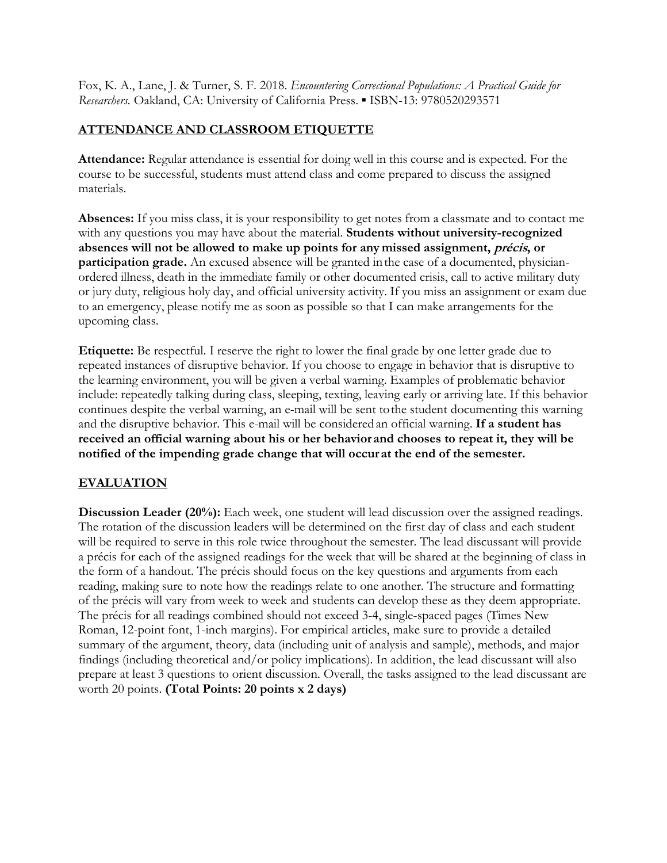Fox, K. A., Lane, J. & Turner, S. F. 2018. *Encountering Correctional Populations: A Practical Guide for Researchers.* Oakland, CA: University of California Press. ▪ ISBN-13: 9780520293571

# **ATTENDANCE AND CLASSROOM ETIQUETTE**

**Attendance:** Regular attendance is essential for doing well in this course and is expected. For the course to be successful, students must attend class and come prepared to discuss the assigned materials.

**Absences:** If you miss class, it is your responsibility to get notes from a classmate and to contact me with any questions you may have about the material. **Students without university-recognized absences will not be allowed to make up points for any missed assignment, précis, or participation grade.** An excused absence will be granted in the case of a documented, physicianordered illness, death in the immediate family or other documented crisis, call to active military duty or jury duty, religious holy day, and official university activity. If you miss an assignment or exam due to an emergency, please notify me as soon as possible so that I can make arrangements for the upcoming class.

**Etiquette:** Be respectful. I reserve the right to lower the final grade by one letter grade due to repeated instances of disruptive behavior. If you choose to engage in behavior that is disruptive to the learning environment, you will be given a verbal warning. Examples of problematic behavior include: repeatedly talking during class, sleeping, texting, leaving early or arriving late. If this behavior continues despite the verbal warning, an e-mail will be sent to the student documenting this warning and the disruptive behavior. This e-mail will be considered an official warning. **If a student has received an official warning about his or her behavior and chooses to repeat it, they will be notified of the impending grade change that will occur at the end of the semester.** 

# **EVALUATION**

**Discussion Leader (20%):** Each week, one student will lead discussion over the assigned readings. The rotation of the discussion leaders will be determined on the first day of class and each student will be required to serve in this role twice throughout the semester. The lead discussant will provide a précis for each of the assigned readings for the week that will be shared at the beginning of class in the form of a handout. The précis should focus on the key questions and arguments from each reading, making sure to note how the readings relate to one another. The structure and formatting of the précis will vary from week to week and students can develop these as they deem appropriate. The précis for all readings combined should not exceed 3-4, single-spaced pages (Times New Roman, 12-point font, 1-inch margins). For empirical articles, make sure to provide a detailed summary of the argument, theory, data (including unit of analysis and sample), methods, and major findings (including theoretical and/or policy implications). In addition, the lead discussant will also prepare at least 3 questions to orient discussion. Overall, the tasks assigned to the lead discussant are worth 20 points. **(Total Points: 20 points x 2 days)**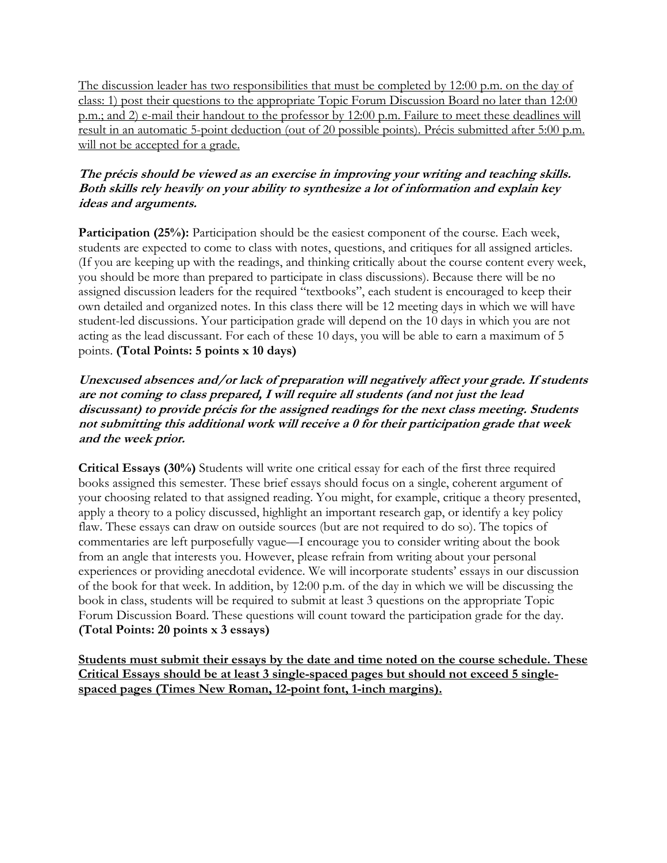The discussion leader has two responsibilities that must be completed by 12:00 p.m. on the day of class: 1) post their questions to the appropriate Topic Forum Discussion Board no later than 12:00 p.m.; and 2) e-mail their handout to the professor by 12:00 p.m. Failure to meet these deadlines will result in an automatic 5-point deduction (out of 20 possible points). Précis submitted after 5:00 p.m. will not be accepted for a grade.

# **The précis should be viewed as an exercise in improving your writing and teaching skills. Both skills rely heavily on your ability to synthesize a lot of information and explain key ideas and arguments.**

**Participation (25%):** Participation should be the easiest component of the course. Each week, students are expected to come to class with notes, questions, and critiques for all assigned articles. (If you are keeping up with the readings, and thinking critically about the course content every week, you should be more than prepared to participate in class discussions). Because there will be no assigned discussion leaders for the required "textbooks", each student is encouraged to keep their own detailed and organized notes. In this class there will be 12 meeting days in which we will have student-led discussions. Your participation grade will depend on the 10 days in which you are not acting as the lead discussant. For each of these 10 days, you will be able to earn a maximum of 5 points. **(Total Points: 5 points x 10 days)**

# **Unexcused absences and/or lack of preparation will negatively affect your grade. If students are not coming to class prepared, I will require all students (and not just the lead discussant) to provide précis for the assigned readings for the next class meeting. Students not submitting this additional work will receive a 0 for their participation grade that week and the week prior.**

**Critical Essays (30%)** Students will write one critical essay for each of the first three required books assigned this semester. These brief essays should focus on a single, coherent argument of your choosing related to that assigned reading. You might, for example, critique a theory presented, apply a theory to a policy discussed, highlight an important research gap, or identify a key policy flaw. These essays can draw on outside sources (but are not required to do so). The topics of commentaries are left purposefully vague—I encourage you to consider writing about the book from an angle that interests you. However, please refrain from writing about your personal experiences or providing anecdotal evidence. We will incorporate students' essays in our discussion of the book for that week. In addition, by 12:00 p.m. of the day in which we will be discussing the book in class, students will be required to submit at least 3 questions on the appropriate Topic Forum Discussion Board. These questions will count toward the participation grade for the day. **(Total Points: 20 points x 3 essays)**

**Students must submit their essays by the date and time noted on the course schedule. These Critical Essays should be at least 3 single-spaced pages but should not exceed 5 singlespaced pages (Times New Roman, 12-point font, 1-inch margins).**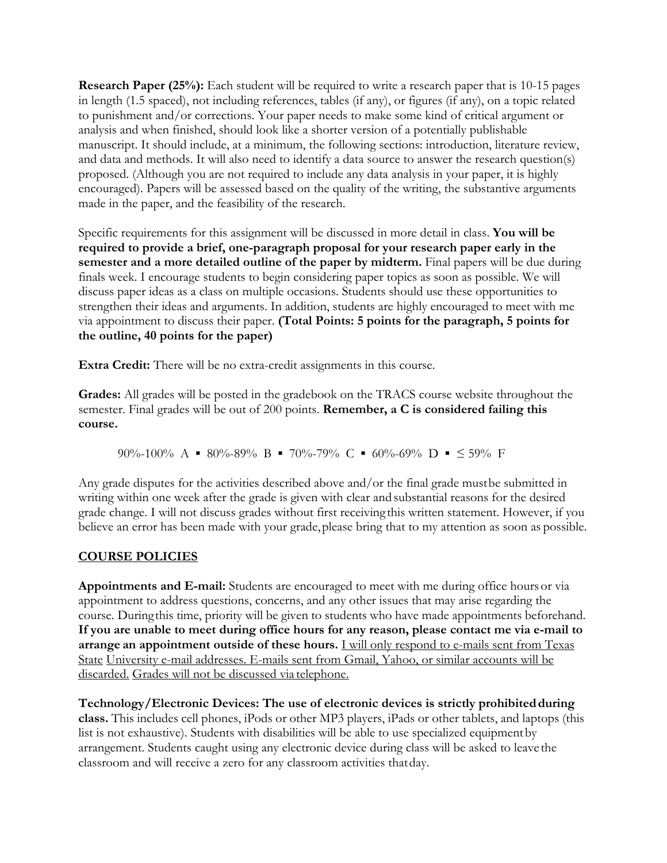**Research Paper (25%):** Each student will be required to write a research paper that is 10-15 pages in length (1.5 spaced), not including references, tables (if any), or figures (if any), on a topic related to punishment and/or corrections. Your paper needs to make some kind of critical argument or analysis and when finished, should look like a shorter version of a potentially publishable manuscript. It should include, at a minimum, the following sections: introduction, literature review, and data and methods. It will also need to identify a data source to answer the research question(s) proposed. (Although you are not required to include any data analysis in your paper, it is highly encouraged). Papers will be assessed based on the quality of the writing, the substantive arguments made in the paper, and the feasibility of the research.

Specific requirements for this assignment will be discussed in more detail in class. **You will be required to provide a brief, one-paragraph proposal for your research paper early in the semester and a more detailed outline of the paper by midterm.** Final papers will be due during finals week. I encourage students to begin considering paper topics as soon as possible. We will discuss paper ideas as a class on multiple occasions. Students should use these opportunities to strengthen their ideas and arguments. In addition, students are highly encouraged to meet with me via appointment to discuss their paper. **(Total Points: 5 points for the paragraph, 5 points for the outline, 40 points for the paper)**

**Extra Credit:** There will be no extra-credit assignments in this course.

**Grades:** All grades will be posted in the gradebook on the TRACS course website throughout the semester. Final grades will be out of 200 points. **Remember, a C is considered failing this course.**

90%-100% A  $\blacksquare$  80%-89% B  $\blacksquare$  70%-79% C  $\blacksquare$  60%-69% D  $\blacksquare$   $\leq$  59% F

Any grade disputes for the activities described above and/or the final grade must be submitted in writing within one week after the grade is given with clear and substantial reasons for the desired grade change. I will not discuss grades without first receiving this written statement. However, if you believe an error has been made with your grade, please bring that to my attention as soon as possible.

# **COURSE POLICIES**

**Appointments and E-mail:** Students are encouraged to meet with me during office hours or via appointment to address questions, concerns, and any other issues that may arise regarding the course. During this time, priority will be given to students who have made appointments beforehand. **If you are unable to meet during office hours for any reason, please contact me via e-mail to arrange an appointment outside of these hours.** I will only respond to e-mails sent from Texas State University e-mail addresses. E-mails sent from Gmail, Yahoo, or similar accounts will be discarded. Grades will not be discussed via telephone.

**Technology/Electronic Devices: The use of electronic devices is strictly prohibited during class.** This includes cell phones, iPods or other MP3 players, iPads or other tablets, and laptops (this list is not exhaustive). Students with disabilities will be able to use specialized equipment by arrangement. Students caught using any electronic device during class will be asked to leave the classroom and will receive a zero for any classroom activities that day.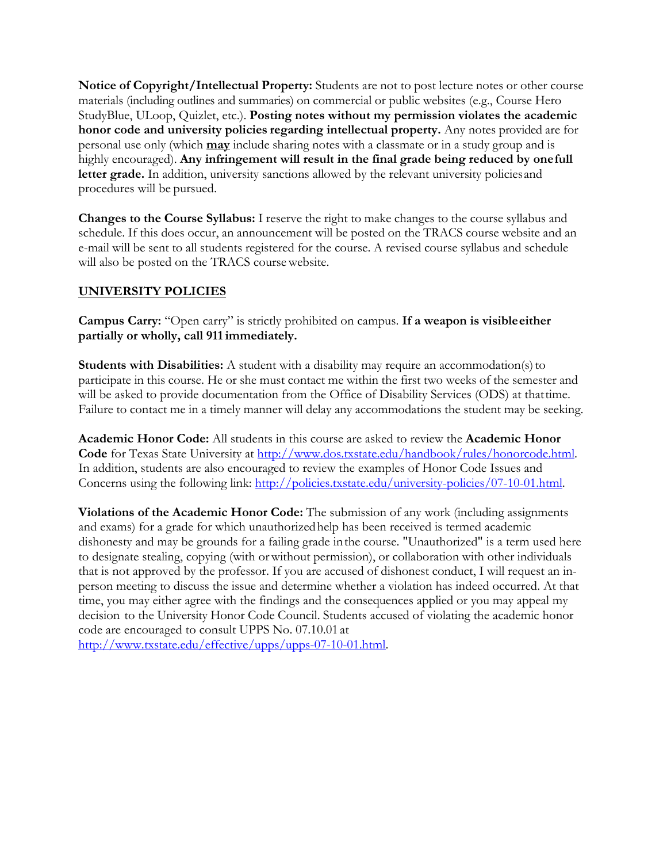**Notice of Copyright/Intellectual Property:** Students are not to post lecture notes or other course materials (including outlines and summaries) on commercial or public websites (e.g., Course Hero StudyBlue, ULoop, Quizlet, etc.). **Posting notes without my permission violates the academic honor code and university policies regarding intellectual property.** Any notes provided are for personal use only (which **may** include sharing notes with a classmate or in a study group and is highly encouraged). Any infringement will result in the final grade being reduced by one full letter grade. In addition, university sanctions allowed by the relevant university policies and procedures will be pursued.

**Changes to the Course Syllabus:** I reserve the right to make changes to the course syllabus and schedule. If this does occur, an announcement will be posted on the TRACS course website and an e-mail will be sent to all students registered for the course. A revised course syllabus and schedule will also be posted on the TRACS course website.

# **UNIVERSITY POLICIES**

**Campus Carry:** "Open carry" is strictly prohibited on campus. **If a weapon is visible either partially or wholly, call 911 immediately.**

**Students with Disabilities:** A student with a disability may require an accommodation(s) to participate in this course. He or she must contact me within the first two weeks of the semester and will be asked to provide documentation from the Office of Disability Services (ODS) at that time. Failure to contact me in a timely manner will delay any accommodations the student may be seeking.

**Academic Honor Code:** All students in this course are asked to review the **Academic Honor Code** for Texas State University at http://www.dos.txstate.edu/handbook/rules/honorcode.html. In addition, students are also encouraged to review the examples of Honor Code Issues and Concerns using the following link: http://policies.txstate.edu/university-policies/07-10-01.html.

**Violations of the Academic Honor Code:** The submission of any work (including assignments and exams) for a grade for which unauthorized help has been received is termed academic dishonesty and may be grounds for a failing grade in the course. "Unauthorized" is a term used here to designate stealing, copying (with or without permission), or collaboration with other individuals that is not approved by the professor. If you are accused of dishonest conduct, I will request an inperson meeting to discuss the issue and determine whether a violation has indeed occurred. At that time, you may either agree with the findings and the consequences applied or you may appeal my decision to the University Honor Code Council. Students accused of violating the academic honor code are encouraged to consult UPPS No. 07.10.01 at http://www.txstate.edu/effective/upps/upps-07-10-01.html.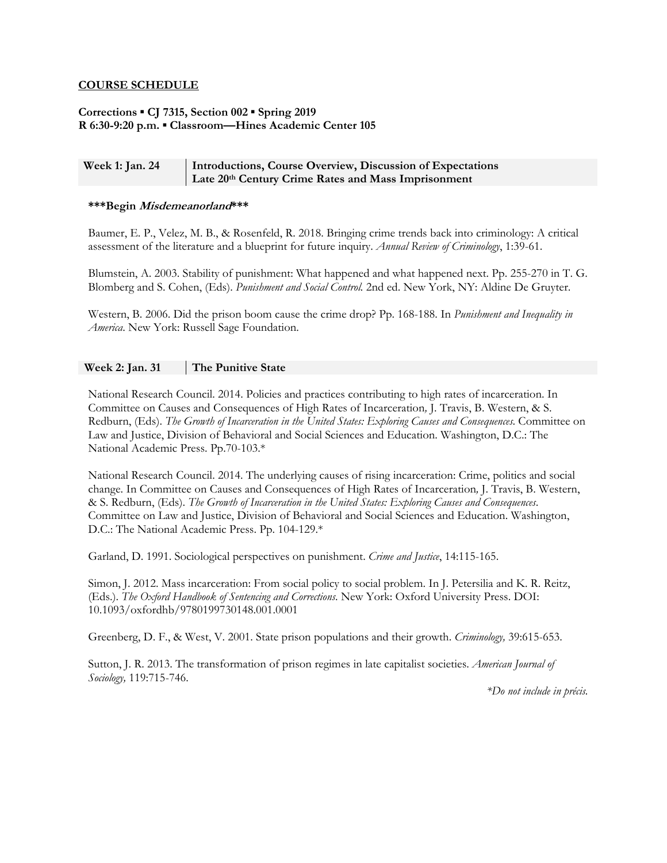### **COURSE SCHEDULE**

### **Corrections ▪ CJ 7315, Section 002 ▪ Spring 2019 R 6:30-9:20 p.m. ▪ Classroom—Hines Academic Center 105**

### Week 1: Jan. 24 **Introductions, Course Overview, Discussion of Expectations Late 20th Century Crime Rates and Mass Imprisonment**

#### **\*\*\*Begin Misdemeanorland\*\*\***

Baumer, E. P., Velez, M. B., & Rosenfeld, R. 2018. Bringing crime trends back into criminology: A critical assessment of the literature and a blueprint for future inquiry. *Annual Review of Criminology*, 1:39-61.

Blumstein, A. 2003. Stability of punishment: What happened and what happened next. Pp. 255-270 in T. G. Blomberg and S. Cohen, (Eds). *Punishment and Social Control.* 2nd ed. New York, NY: Aldine De Gruyter.

Western, B. 2006. Did the prison boom cause the crime drop? Pp. 168-188. In *Punishment and Inequality in America*. New York: Russell Sage Foundation.

### **Week 2: Jan. 31 The Punitive State**

National Research Council. 2014. Policies and practices contributing to high rates of incarceration. In Committee on Causes and Consequences of High Rates of Incarceration*,* J. Travis, B. Western, & S. Redburn, (Eds). *The Growth of Incarceration in the United States: Exploring Causes and Consequences*. Committee on Law and Justice, Division of Behavioral and Social Sciences and Education. Washington, D.C.: The National Academic Press. Pp.70-103.\*

National Research Council. 2014. The underlying causes of rising incarceration: Crime, politics and social change. In Committee on Causes and Consequences of High Rates of Incarceration*,* J. Travis, B. Western, & S. Redburn, (Eds). *The Growth of Incarceration in the United States: Exploring Causes and Consequences*. Committee on Law and Justice, Division of Behavioral and Social Sciences and Education. Washington, D.C.: The National Academic Press. Pp. 104-129.\*

Garland, D. 1991. Sociological perspectives on punishment. *Crime and Justice*, 14:115-165.

Simon, J. 2012. Mass incarceration: From social policy to social problem. In J. Petersilia and K. R. Reitz, (Eds.). *The Oxford Handbook of Sentencing and Corrections*. New York: Oxford University Press. DOI: 10.1093/oxfordhb/9780199730148.001.0001

Greenberg, D. F., & West, V. 2001. State prison populations and their growth. *Criminology,* 39:615-653.

Sutton, J. R. 2013. The transformation of prison regimes in late capitalist societies. *American Journal of Sociology,* 119:715-746.

*\*Do not include in précis.*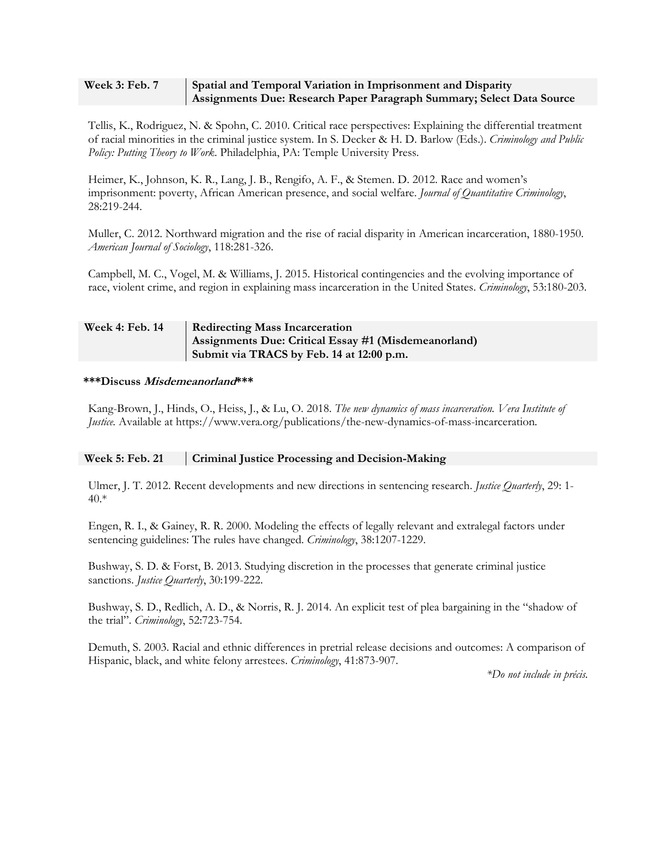### **Week 3: Feb. 7** Spatial and Temporal Variation in Imprisonment and Disparity **Assignments Due: Research Paper Paragraph Summary; Select Data Source**

Tellis, K., Rodriguez, N. & Spohn, C. 2010. Critical race perspectives: Explaining the differential treatment of racial minorities in the criminal justice system. In S. Decker & H. D. Barlow (Eds.). *Criminology and Public Policy: Putting Theory to Work*. Philadelphia, PA: Temple University Press.

Heimer, K., Johnson, K. R., Lang, J. B., Rengifo, A. F., & Stemen. D. 2012. Race and women's imprisonment: poverty, African American presence, and social welfare. *Journal of Quantitative Criminology*, 28:219-244.

Muller, C. 2012. Northward migration and the rise of racial disparity in American incarceration, 1880-1950. *American Journal of Sociology*, 118:281-326.

Campbell, M. C., Vogel, M. & Williams, J. 2015. Historical contingencies and the evolving importance of race, violent crime, and region in explaining mass incarceration in the United States. *Criminology*, 53:180-203.

## Week 4: Feb. 14 | Redirecting Mass Incarceration **Assignments Due: Critical Essay #1 (Misdemeanorland) Submit via TRACS by Feb. 14 at 12:00 p.m.**

### **\*\*\*Discuss Misdemeanorland\*\*\***

Kang-Brown, J., Hinds, O., Heiss, J., & Lu, O. 2018. *The new dynamics of mass incarceration. Vera Institute of Justice.* Available at https://www.vera.org/publications/the-new-dynamics-of-mass-incarceration*.* 

### **Week 5: Feb. 21 Criminal Justice Processing and Decision-Making**

Ulmer, J. T. 2012. Recent developments and new directions in sentencing research. *Justice Quarterly*, 29: 1- 40.\*

Engen, R. I., & Gainey, R. R. 2000. Modeling the effects of legally relevant and extralegal factors under sentencing guidelines: The rules have changed. *Criminology*, 38:1207-1229.

Bushway, S. D. & Forst, B. 2013. Studying discretion in the processes that generate criminal justice sanctions. *Justice Quarterly*, 30:199-222.

Bushway, S. D., Redlich, A. D., & Norris, R. J. 2014. An explicit test of plea bargaining in the "shadow of the trial". *Criminology*, 52:723-754.

Demuth, S. 2003. Racial and ethnic differences in pretrial release decisions and outcomes: A comparison of Hispanic, black, and white felony arrestees. *Criminology*, 41:873-907.

*\*Do not include in précis.*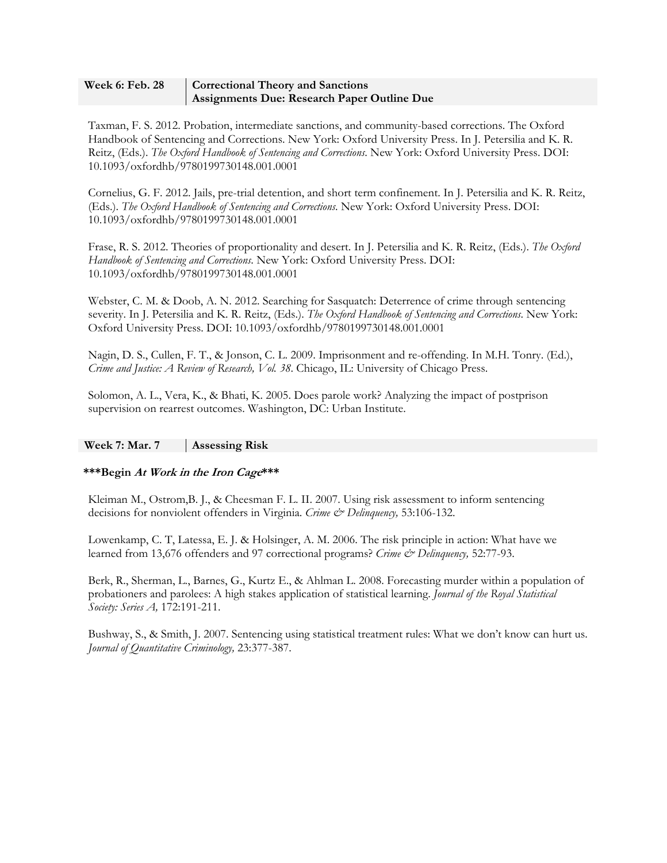### Week 6: Feb. 28 | Correctional Theory and Sanctions **Assignments Due: Research Paper Outline Due**

Taxman, F. S. 2012. Probation, intermediate sanctions, and community-based corrections. The Oxford Handbook of Sentencing and Corrections. New York: Oxford University Press. In J. Petersilia and K. R. Reitz, (Eds.). *The Oxford Handbook of Sentencing and Corrections*. New York: Oxford University Press. DOI: 10.1093/oxfordhb/9780199730148.001.0001

Cornelius, G. F. 2012. Jails, pre-trial detention, and short term confinement. In J. Petersilia and K. R. Reitz, (Eds.). *The Oxford Handbook of Sentencing and Corrections*. New York: Oxford University Press. DOI: 10.1093/oxfordhb/9780199730148.001.0001

Frase, R. S. 2012. Theories of proportionality and desert. In J. Petersilia and K. R. Reitz, (Eds.). *The Oxford Handbook of Sentencing and Corrections*. New York: Oxford University Press. DOI: 10.1093/oxfordhb/9780199730148.001.0001

Webster, C. M. & Doob, A. N. 2012. Searching for Sasquatch: Deterrence of crime through sentencing severity. In J. Petersilia and K. R. Reitz, (Eds.). *The Oxford Handbook of Sentencing and Corrections*. New York: Oxford University Press. DOI: 10.1093/oxfordhb/9780199730148.001.0001

Nagin, D. S., Cullen, F. T., & Jonson, C. L. 2009. Imprisonment and re-offending. In M.H. Tonry. (Ed.), *Crime and Justice: A Review of Research, Vol. 38*. Chicago, IL: University of Chicago Press.

Solomon, A. L., Vera, K., & Bhati, K. 2005. Does parole work? Analyzing the impact of postprison supervision on rearrest outcomes. Washington, DC: Urban Institute.

## **Week 7: Mar. 7 Assessing Risk**

## **\*\*\*Begin At Work in the Iron Cage\*\*\***

Kleiman M., Ostrom,B. J., & Cheesman F. L. II. 2007. Using risk assessment to inform sentencing decisions for nonviolent offenders in Virginia. *Crime & Delinquency,* 53:106-132.

Lowenkamp, C. T, Latessa, E. J. & Holsinger, A. M. 2006. The risk principle in action: What have we learned from 13,676 offenders and 97 correctional programs? *Crime & Delinquency*, 52:77-93.

Berk, R., Sherman, L., Barnes, G., Kurtz E., & Ahlman L. 2008. Forecasting murder within a population of probationers and parolees: A high stakes application of statistical learning. *Journal of the Royal Statistical Society: Series A,* 172:191-211.

Bushway, S., & Smith, J. 2007. Sentencing using statistical treatment rules: What we don't know can hurt us. *Journal of Quantitative Criminology,* 23:377-387.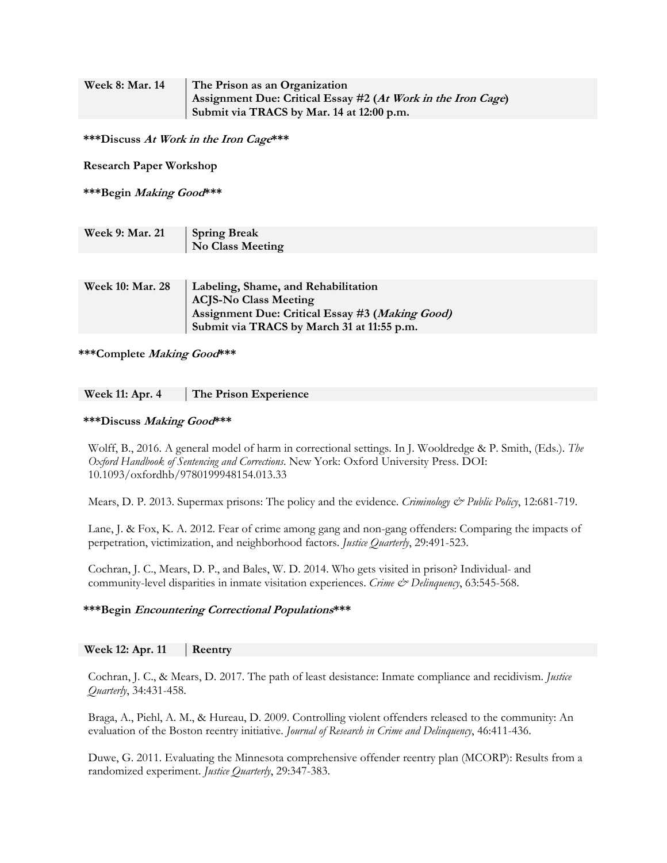| <b>Week 8: Mar. 14</b> | The Prison as an Organization                                |
|------------------------|--------------------------------------------------------------|
|                        | Assignment Due: Critical Essay #2 (At Work in the Iron Cage) |
|                        | Submit via TRACS by Mar. 14 at 12:00 p.m.                    |

**\*\*\*Discuss At Work in the Iron Cage\*\*\*** 

**Research Paper Workshop** 

**\*\*\*Begin Making Good\*\*\***

| Week 9: Mar. 21 | <b>Spring Break</b> |
|-----------------|---------------------|
|                 | No Class Meeting    |

| <b>Week 10: Mar. 28</b> | Labeling, Shame, and Rehabilitation             |
|-------------------------|-------------------------------------------------|
|                         | <b>ACJS-No Class Meeting</b>                    |
|                         | Assignment Due: Critical Essay #3 (Making Good) |
|                         | Submit via TRACS by March 31 at 11:55 p.m.      |

**\*\*\*Complete Making Good\*\*\*** 

#### **\*\*\*Discuss Making Good\*\*\***

Wolff, B., 2016. A general model of harm in correctional settings. In J. Wooldredge & P. Smith, (Eds.). *The Oxford Handbook of Sentencing and Corrections*. New York: Oxford University Press. DOI: 10.1093/oxfordhb/9780199948154.013.33

Mears, D. P. 2013. Supermax prisons: The policy and the evidence. *Criminology & Public Policy*, 12:681-719.

Lane, J. & Fox, K. A. 2012. Fear of crime among gang and non-gang offenders: Comparing the impacts of perpetration, victimization, and neighborhood factors. *Justice Quarterly*, 29:491-523.

Cochran, J. C., Mears, D. P., and Bales, W. D. 2014. Who gets visited in prison? Individual- and community-level disparities in inmate visitation experiences. *Crime & Delinquency*, 63:545-568.

### **\*\*\*Begin Encountering Correctional Populations\*\*\***

### **Week 12: Apr. 11 | Reentry**

Cochran, J. C., & Mears, D. 2017. The path of least desistance: Inmate compliance and recidivism. *Justice Quarterly*, 34:431-458.

Braga, A., Piehl, A. M., & Hureau, D. 2009. Controlling violent offenders released to the community: An evaluation of the Boston reentry initiative. *Journal of Research in Crime and Delinquency*, 46:411-436.

Duwe, G. 2011. Evaluating the Minnesota comprehensive offender reentry plan (MCORP): Results from a randomized experiment. *Justice Quarterly*, 29:347-383.